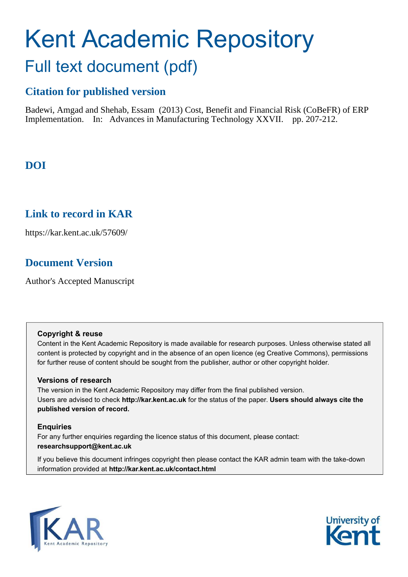# Kent Academic Repository Full text document (pdf)

# **Citation for published version**

Badewi, Amgad and Shehab, Essam (2013) Cost, Benefit and Financial Risk (CoBeFR) of ERP Implementation. In: Advances in Manufacturing Technology XXVII. pp. 207-212.

# **DOI**

## **Link to record in KAR**

https://kar.kent.ac.uk/57609/

## **Document Version**

Author's Accepted Manuscript

## **Copyright & reuse**

Content in the Kent Academic Repository is made available for research purposes. Unless otherwise stated all content is protected by copyright and in the absence of an open licence (eg Creative Commons), permissions for further reuse of content should be sought from the publisher, author or other copyright holder.

## **Versions of research**

The version in the Kent Academic Repository may differ from the final published version. Users are advised to check **http://kar.kent.ac.uk** for the status of the paper. **Users should always cite the published version of record.**

## **Enquiries**

For any further enquiries regarding the licence status of this document, please contact: **researchsupport@kent.ac.uk**

If you believe this document infringes copyright then please contact the KAR admin team with the take-down information provided at **http://kar.kent.ac.uk/contact.html**



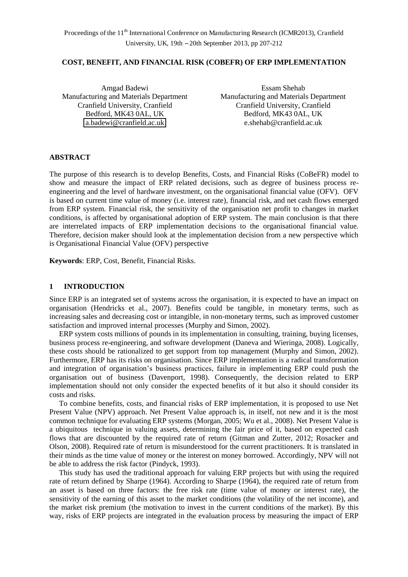#### **COST, BENEFIT, AND FINANCIAL RISK (COBEFR) OF ERP IMPLEMENTATION**

Amgad Badewi Manufacturing and Materials Department Bedford, MK43 0AL, UK [a.badewi@cranfield.ac.uk](mailto:a.badewi@cranfield.ac.uk) 

Essam Shehab Manufacturing and Materials Department Cranfield University, Cranfield Cranfield University, Cranfield Bedford, MK43 0AL, UK e.shehab@cranfield.ac.uk

#### **ABSTRACT**

The purpose of this research is to develop Benefits, Costs, and Financial Risks (CoBeFR) model to show and measure the impact of ERP related decisions, such as degree of business process reengineering and the level of hardware investment, on the organisational financial value (OFV). OFV is based on current time value of money (i.e. interest rate), financial risk, and net cash flows emerged from ERP system. Financial risk, the sensitivity of the organisation net profit to changes in market conditions, is affected by organisational adoption of ERP system. The main conclusion is that there are interrelated impacts of ERP implementation decisions to the organisational financial value. Therefore, decision maker should look at the implementation decision from a new perspective which is Organisational Financial Value (OFV) perspective

**Keywords**: ERP, Cost, Benefit, Financial Risks.

#### **1 INTRODUCTION**

Since ERP is an integrated set of systems across the organisation, it is expected to have an impact on organisation (Hendricks et al., 2007). Benefits could be tangible, in monetary terms, such as increasing sales and decreasing cost or intangible, in non-monetary terms, such as improved customer satisfaction and improved internal processes (Murphy and Simon, 2002).

ERP system costs millions of pounds in its implementation in consulting, training, buying licenses, business process re-engineering, and software development (Daneva and Wieringa, 2008). Logically, these costs should be rationalized to get support from top management (Murphy and Simon, 2002). Furthermore, ERP has its risks on organisation. Since ERP implementation is a radical transformation and integration of organisation's business practices, failure in implementing ERP could push the organisation out of business (Davenport, 1998). Consequently, the decision related to ERP implementation should not only consider the expected benefits of it but also it should consider its costs and risks.

To combine benefits, costs, and financial risks of ERP implementation, it is proposed to use Net Present Value (NPV) approach. Net Present Value approach is, in itself, not new and it is the most common technique for evaluating ERP systems (Morgan, 2005; Wu et al., 2008). Net Present Value is a ubiquitous technique in valuing assets, determining the fair price of it, based on expected cash flows that are discounted by the required rate of return (Gitman and Zutter, 2012; Rosacker and Olson, 2008). Required rate of return is misunderstood for the current practitioners. It is translated in their minds as the time value of money or the interest on money borrowed. Accordingly, NPV will not be able to address the risk factor (Pindyck, 1993).

This study has used the traditional approach for valuing ERP projects but with using the required rate of return defined by Sharpe (1964). According to Sharpe (1964), the required rate of return from an asset is based on three factors: the free risk rate (time value of money or interest rate), the sensitivity of the earning of this asset to the market conditions (the volatility of the net income), and the market risk premium (the motivation to invest in the current conditions of the market). By this way, risks of ERP projects are integrated in the evaluation process by measuring the impact of ERP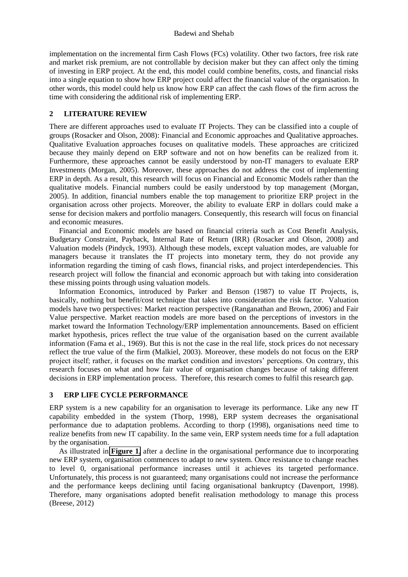implementation on the incremental firm Cash Flows (FCs) volatility. Other two factors, free risk rate and market risk premium, are not controllable by decision maker but they can affect only the timing of investing in ERP project. At the end, this model could combine benefits, costs, and financial risks into a single equation to show how ERP project could affect the financial value of the organisation. In other words, this model could help us know how ERP can affect the cash flows of the firm across the time with considering the additional risk of implementing ERP.

#### **2 LITERATURE REVIEW**

There are different approaches used to evaluate IT Projects. They can be classified into a couple of groups (Rosacker and Olson, 2008): Financial and Economic approaches and Qualitative approaches. Qualitative Evaluation approaches focuses on qualitative models. These approaches are criticized because they mainly depend on ERP software and not on how benefits can be realized from it. Furthermore, these approaches cannot be easily understood by non-IT managers to evaluate ERP Investments (Morgan, 2005). Moreover, these approaches do not address the cost of implementing ERP in depth. As a result, this research will focus on Financial and Economic Models rather than the qualitative models. Financial numbers could be easily understood by top management (Morgan, 2005). In addition, financial numbers enable the top management to prioritize ERP project in the organisation across other projects. Moreover, the ability to evaluate ERP in dollars could make a sense for decision makers and portfolio managers. Consequently, this research will focus on financial and economic measures.

<span id="page-2-0"></span>Financial and Economic models are based on financial criteria such as Cost Benefit Analysis, Budgetary Constraint, Payback, Internal Rate of Return (IRR) (Rosacker and Olson, 2008) and Valuation models (Pindyck, 1993). Although these models, except valuation modes, are valuable for managers because it translates the IT projects into monetary term, they do not provide any information regarding the timing of cash flows, financial risks, and project interdependencies. This research project will follow the financial and economic approach but with taking into consideration these missing points through using valuation models.

Information Economics, introduced by Parker and Benson (1987) to value IT Projects, is, basically, nothing but benefit/cost technique that takes into consideration the risk factor. Valuation models have two perspectives: Market reaction perspective (Ranganathan and Brown, 2006) and Fair Value perspective. Market reaction models are more based on the perceptions of investors in the market toward the Information Technology/ERP implementation announcements. Based on efficient market hypothesis, prices reflect the true value of the organisation based on the current available information (Fama et al., 1969). But this is not the case in the real life, stock prices do not necessary reflect the true value of the firm (Malkiel, 2003). Moreover, these models do not focus on the ERP project itself; rather, it focuses on the market condition and investors' perceptions. On contrary, this research focuses on what and how fair value of organisation changes because of taking different decisions in ERP implementation process. Therefore, this research comes to fulfil this research gap.

#### **3 ERP LIFE CYCLE PERFORMANCE**

ERP system is a new capability for an organisation to leverage its performance. Like any new IT capability embedded in the system (Thorp, 1998), ERP system decreases the organisational performance due to adaptation problems. According to thorp (1998), organisations need time to realize benefits from new IT capability. In the same vein, ERP system needs time for a full adaptation by the organisation.

As illustrated in **[Figure 1](#page-2-0)**, after a decline in the organisational performance due to incorporating new ERP system, organisation commences to adapt to new system. Once resistance to change reaches to level 0, organisational performance increases until it achieves its targeted performance. Unfortunately, this process is not guaranteed; many organisations could not increase the performance and the performance keeps declining until facing organisational bankruptcy (Davenport, 1998). Therefore, many organisations adopted benefit realisation methodology to manage this process (Breese, 2012)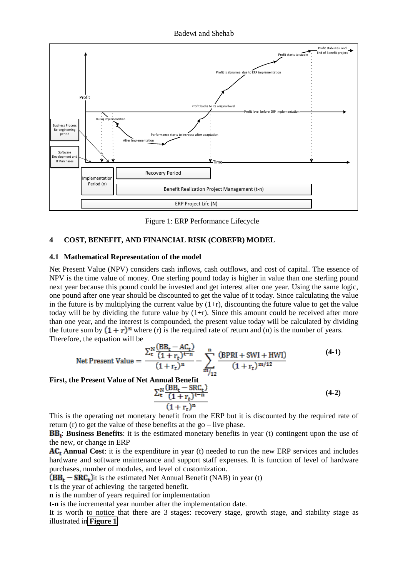

Figure 1: ERP Performance Lifecycle

#### **4 COST, BENEFIT, AND FINANCIAL RISK (COBEFR) MODEL**

#### **4.1 Mathematical Representation of the model**

Net Present Value (NPV) considers cash inflows, cash outflows, and cost of capital. The essence of NPV is the time value of money. One sterling pound today is higher in value than one sterling pound next year because this pound could be invested and get interest after one year. Using the same logic, one pound after one year should be discounted to get the value of it today. Since calculating the value in the future is by multiplying the current value by  $(1+r)$ , discounting the future value to get the value today will be by dividing the future value by  $(1+r)$ . Since this amount could be received after more than one year, and the interest is compounded, the present value today will be calculated by dividing the future sum by  $(1 + r)^n$  where (r) is the required rate of return and (n) is the number of years. Therefore, the equation will be

Net Present Value = 
$$
\frac{\sum_{t}^{N} \frac{(BB_{t} - AC_{t})}{(1 + r_{t})^{t-n}}}{(1 + r_{t})^{n}} - \sum_{m_{1/2}}^{n} \frac{(BPRI + SWI + HWI)}{(1 + r_{t})^{m/12}}
$$
(4-1)

#### **First, the Present Value of Net Annual Benefit**

$$
\frac{\sum_{t}^{N} \frac{(BB_t - SRC_t)}{(1 + r_t)^{t-n}}}{(1 + r_t)^n}
$$
\n(4-2)

This is the operating net monetary benefit from the ERP but it is discounted by the required rate of return (r) to get the value of these benefits at the go – live phase.

: **Business Benefits**: it is the estimated monetary benefits in year (t) contingent upon the use of the new, or change in ERP

**Annual Cost**: it is the expenditure in year (t) needed to run the new ERP services and includes hardware and software maintenance and support staff expenses. It is function of level of hardware purchases, number of modules, and level of customization.

 $IBB<sub>t</sub> - SRC<sub>t</sub>$ ) it is the estimated Net Annual Benefit (NAB) in year (t)

**t** is the year of achieving the targeted benefit.

**n** is the number of years required for implementation

**t-n** is the incremental year number after the implementation date.

It is worth to notice that there are 3 stages: recovery stage, growth stage, and stability stage as illustrated in **[Figure 1](#page-2-0)**.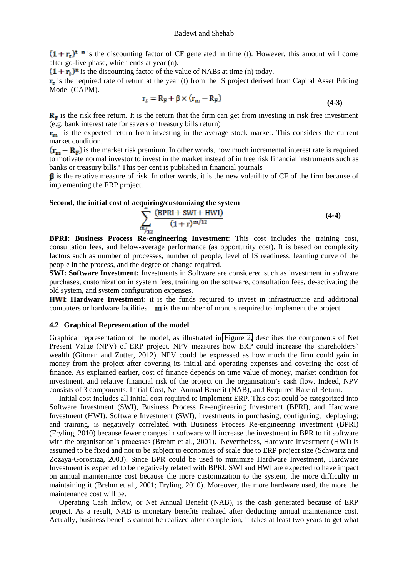$(1 + r_t)^{t-n}$  is the discounting factor of CF generated in time (t). However, this amount will come after go-live phase, which ends at year (n).

 $(1 + r_t)^n$  is the discounting factor of the value of NABs at time (n) today.

 $\mathbf{r}_t$  is the required rate of return at the year (t) from the IS project derived from Capital Asset Pricing Model (CAPM).

$$
r_t = R_F + \beta \times (r_m - R_F) \tag{4-3}
$$

 $\mathbf{R}_{F}$  is the risk free return. It is the return that the firm can get from investing in risk free investment (e.g. bank interest rate for savers or treasury bills return)

 $\mathbf{r}_{\mathbf{m}}$  is the expected return from investing in the average stock market. This considers the current market condition.

 $(\mathbf{r_m} - \mathbf{R_F})$  is the market risk premium. In other words, how much incremental interest rate is required to motivate normal investor to invest in the market instead of in free risk financial instruments such as banks or treasury bills? This per cent is published in financial journals

 $\beta$  is the relative measure of risk. In other words, it is the new volatility of CF of the firm because of implementing the ERP project.

#### **Second, the initial cost of acquiring/customizing the system**

$$
\sum_{m_{/12}}^{n} \frac{(BPRI + SWI + HWI)}{(1+r)^{m/12}}
$$
 (4-4)

**BPRI: Business Process Re-engineering Investment**: This cost includes the training cost, consultation fees, and below-average performance (as opportunity cost). It is based on complexity factors such as number of processes, number of people, level of IS readiness, learning curve of the people in the process, and the degree of change required.

**SWI: Software Investment:** Investments in Software are considered such as investment in software purchases, customization in system fees, training on the software, consultation fees, de-activating the old system, and system configuration expenses.

: **Hardware Investment**: it is the funds required to invest in infrastructure and additional computers or hardware facilities.  $\mathbf{m}$  is the number of months required to implement the project.

#### **4.2 Graphical Representation of the model**

Graphical representation of the model, as illustrated in [Figure 2,](#page-4-0) describes the components of Net Present Value (NPV) of ERP project. NPV measures how ERP could increase the shareholders' wealth (Gitman and Zutter, 2012). NPV could be expressed as how much the firm could gain in money from the project after covering its initial and operating expenses and covering the cost of finance. As explained earlier, cost of finance depends on time value of money, market condition for investment, and relative financial risk of the project on the organisation's cash flow. Indeed, NPV consists of 3 components: Initial Cost, Net Annual Benefit (NAB), and Required Rate of Return.

<span id="page-4-0"></span>Initial cost includes all initial cost required to implement ERP. This cost could be categorized into Software Investment (SWI), Business Process Re-engineering Investment (BPRI), and Hardware Investment (HWI). Software Investment (SWI), investments in purchasing; configuring; deploying; and training, is negatively correlated with Business Process Re-engineering investment (BPRI) (Fryling, 2010) because fewer changes in software will increase the investment in BPR to fit software with the organisation's processes (Brehm et al., 2001). Nevertheless, Hardware Investment (HWI) is assumed to be fixed and not to be subject to economies of scale due to ERP project size (Schwartz and Zozaya-Gorostiza, 2003). Since BPR could be used to minimize Hardware Investment, Hardware Investment is expected to be negatively related with BPRI. SWI and HWI are expected to have impact on annual maintenance cost because the more customization to the system, the more difficulty in maintaining it (Brehm et al., 2001; Fryling, 2010). Moreover, the more hardware used, the more the maintenance cost will be.

Operating Cash Inflow, or Net Annual Benefit (NAB), is the cash generated because of ERP project. As a result, NAB is monetary benefits realized after deducting annual maintenance cost. Actually, business benefits cannot be realized after completion, it takes at least two years to get what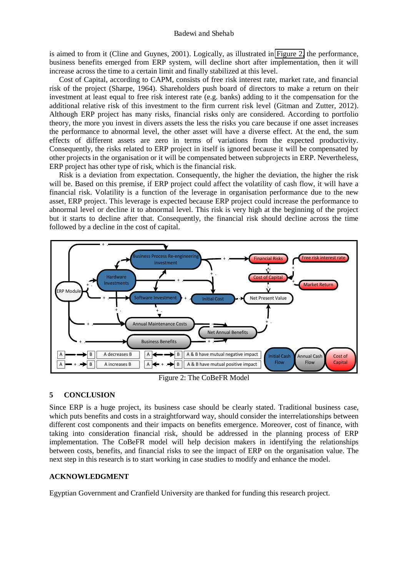is aimed to from it (Cline and Guynes, 2001). Logically, as illustrated in [Figure 2,](#page-4-0) the performance, business benefits emerged from ERP system, will decline short after implementation, then it will increase across the time to a certain limit and finally stabilized at this level.

Cost of Capital, according to CAPM, consists of free risk interest rate, market rate, and financial risk of the project (Sharpe, 1964). Shareholders push board of directors to make a return on their investment at least equal to free risk interest rate (e.g. banks) adding to it the compensation for the additional relative risk of this investment to the firm current risk level (Gitman and Zutter, 2012). Although ERP project has many risks, financial risks only are considered. According to portfolio theory, the more you invest in divers assets the less the risks you care because if one asset increases the performance to abnormal level, the other asset will have a diverse effect. At the end, the sum effects of different assets are zero in terms of variations from the expected productivity. Consequently, the risks related to ERP project in itself is ignored because it will be compensated by other projects in the organisation or it will be compensated between subprojects in ERP. Nevertheless, ERP project has other type of risk, which is the financial risk.

Risk is a deviation from expectation. Consequently, the higher the deviation, the higher the risk will be. Based on this premise, if ERP project could affect the volatility of cash flow, it will have a financial risk. Volatility is a function of the leverage in organisation performance due to the new asset, ERP project. This leverage is expected because ERP project could increase the performance to abnormal level or decline it to abnormal level. This risk is very high at the beginning of the project but it starts to decline after that. Consequently, the financial risk should decline across the time followed by a decline in the cost of capital.



Figure 2: The CoBeFR Model

#### **5 CONCLUSION**

Since ERP is a huge project, its business case should be clearly stated. Traditional business case, which puts benefits and costs in a straightforward way, should consider the interrelationships between different cost components and their impacts on benefits emergence. Moreover, cost of finance, with taking into consideration financial risk, should be addressed in the planning process of ERP implementation. The CoBeFR model will help decision makers in identifying the relationships between costs, benefits, and financial risks to see the impact of ERP on the organisation value. The next step in this research is to start working in case studies to modify and enhance the model.

#### **ACKNOWLEDGMENT**

Egyptian Government and Cranfield University are thanked for funding this research project.